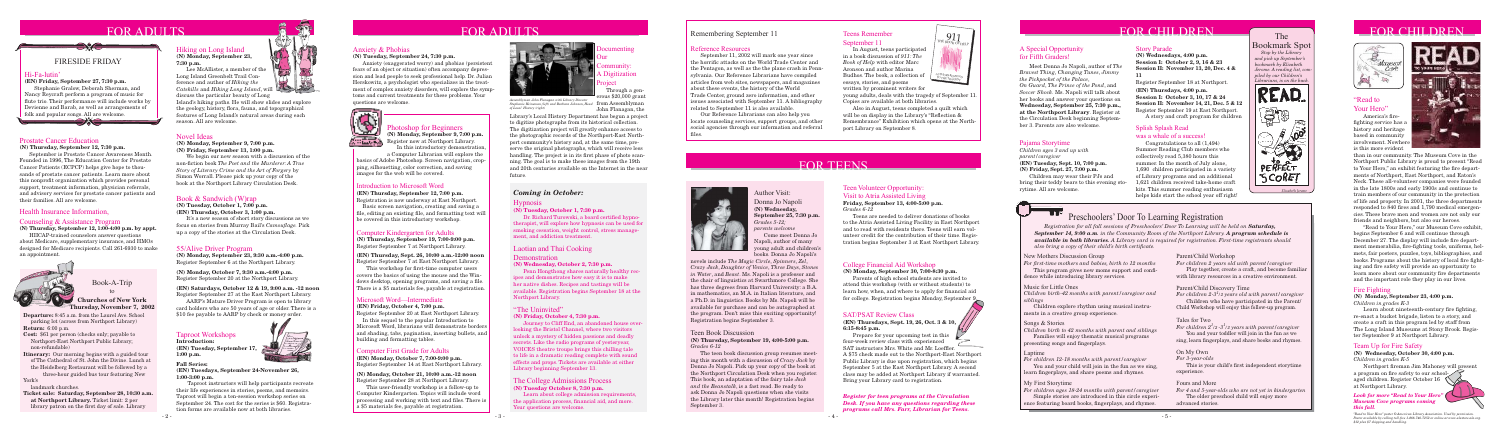# FOR ADULTS

**Departure:** 8:45 a.m. from the Laurel Ave. School parking lot (across from Northport Library) **Return:** 6:00 p.m.

**Cost:** \$61 per person (checks only; payable to Northport-East Northport Public Library; non-refundable)

**Ticket sale: Saturday, September 28, 10:30 a.m. at Northport Library.** Ticket limit: 2 per library patron on the first day of sale. Library

**Itinerary:** Our morning begins with a guided tour of The Cathedral of St. John the Divine. Lunch at the Heidelberg Restaurant will be followed by a three-hour guided bus tour featuring New York's

landmark churches.

Book-A-Trip to

**Churches of New York Thursday, November 7, 2002**

# FOR ADULTS



#### Health Insurance Information,

Counseling & Assistance Program

**(N) Thursday, September 12, 1:00-4:00 p.m. by appt.**

HIICAP-trained counselors answer questions about Medicare, supplementary insurance, and HMOs designed for Medicare recipients. Call 261-6930 to make an appointment.



# FOR CHILDREN The The FOR CHILDREN



### 55/Alive Driver Program

**(N) Monday, September 23, 9:30 a.m.-4:00 p.m.** Register September 6 at the Northport Library.

**(N) Monday, October 7, 9:30 a.m.-4:00 p.m.** Register September 20 at the Northport Library.

#### **(EN) Saturdays, October 12 & 19, 9:00 a.m. -12 noon**

Register September 27 at the East Northport Library. AARP's Mature Driver Program is open to library card holders who are 50 years of age or older. There is a \$10 fee payable to AARP by check or money order.

# FOR TEENS



Bookmark Spot  *Stop by the Library and pick up September's bookmark by Elizabeth Jerome. A reading list, compiled by our Children's Librarians, is on the back.*

READ.

30

 $\sim$ 

PERFECT SCORET

*Elizabeth Jerome*

ৰ্বিক্য

# Taproot Workshops

**Introduction: (EN) Tuesday, September 17, 1:00 p.m.**



#### **Fall Series:**

**(EN) Tuesdays, September 24-November 26, 1:00-3:00 p.m.**

 Taproot instructors will help participants recreate their life experiences in stories, poems, and memoirs. Taproot will begin a ten-session workshop series on September 24. The cost for the series is \$60. Registration forms are available now at both libraries.





#### Hi-Fa-lutin'

#### **(EN) Friday, September 27, 7:30 p.m.**

 Stephanie Gralow, Deborah Sherman, and Nancy Reycraft perform a program of music for flute trio. Their performance will include works by Devienne and Barab, as well as arrangements of folk and popular songs. All are welcome.

## FIRESIDE FRIDAY

 $\bigcirc$ 

# Preschoolers' Door To Learning Registration

*Registration for all fall sessions of Preschoolers' Door To Learning will be held on Saturday, September 14, 9:00 a.m. in the Community Room of the Northport Library. A program schedule is available in both libraries. A Library card is required for registration. First-time registrants should also bring a copy of their child's birth certificate.* 

#### Prostate Cancer Education

**(N) Thursday, September 12, 7:30 p.m.**

 September is Prostate Cancer Awareness Month. Founded in 1996, The Education Center for Prostate Cancer Patients (ECPCP) helps give hope to thousands of prostate cancer patients. Learn more about this nonprofit organization which provides personal support, treatment information, physician referrals, and advisory services for prostate cancer patients and their families. All are welcome.

## Hiking on Long Island

**(N) Monday, September 23, 7:30 p.m.**

 Lee McAllister, a member of the Long Island Greenbelt Trail Conference and author of *Hiking the Catskills* and *Hiking Long Island*, will discuss the particular beauty of Long

Island's hiking paths. He will show slides and explore the geology, history, flora, fauna, and topographical features of Long Island's natural areas during each season. All are welcome.

#### Computer Kindergarten for Adults

**(N) Thursday, September 19, 7:00-9:00 p.m.** Register September 7 at Northport Library.

## **(EN) Thursday, Sept. 26, 10:00 a.m.-12:00 noon**

Dr. Richard Turowski, a board certified hypnotherapist, will explore how hypnosis can be used for smoking cessation, weight control, stress management, and addiction treatment.

Register September 7 at East Northport Library. This workshop for first-time computer users covers the basics of using the mouse and the Windows desktop, opening programs, and saving a file. There is a \$5 materials fee, payable at registration.

#### Computer First Grade for Adults

**(EN) Monday, October 7, 7:00-9:00 p.m.** Register September 14 at East Northport Library.

#### **(N) Monday, October 21, 10:00 a.m.-12 noon** Register September 28 at Northport Library.

This user-friendly workshop is a follow-up to Computer Kindergarten. Topics will include word processing and working with text and files. There is a \$5 materials fee, payable at registration.

#### Introduction to Microsoft Word

**(EN) Thursday, September 12, 7:00 p.m.**

Registration is now underway at East Northport. Basic screen navigation, creating and saving a file, editing an existing file, and formatting text will be covered in this introductory workshop.

### Microsoft Word—Intermediate

#### **(EN) Friday, October 4, 7:00 p.m.**

Register September 20 at East Northport Library.

Library's Local History Department has begun a project to digitize photographs from its historical collection. The digitization project will greatly enhance access to the photographic records of the Northport-East Northport community's history and, at the same time, preserve the original photographs, which will receive less handling. The project is in its first phase of photo scanning. The goal is to make these images from the 19th and 20th centuries available on the Internet in the near future.

In this sequel to the popular Introduction to Microsoft Word, librarians will demonstrate borders and shading, tabs, pagination, inserting bullets, and building and formatting tables.

#### *Coming in October:*

#### Laotian and Thai Cooking

#### **Demonstration**

#### **(N) Wednesday, October 2, 7:30 p.m.**

## "Read to Your Hero"

 Penn Hongthong shares naturally healthy recipes and demonstrates how easy it is to make her native dishes. Recipes and tastings will be available. Registration begins September 18 at the Northport Library.

America's firefighting service has a history and heritage based in community involvement. Nowhere is this more evident



#### "The Uninvited"

#### **(N) Friday, October 4, 7:30 p.m.**

 Our Reference Librarians can also help you locate counseling services, support groups, and other social agencies through our information and referral files.

 Journey to Cliff End, an abandoned house overlooking the Bristol Channel, where two visitors unlock a mystery of hidden passions and deadly secrets. Like the radio programs of yesteryear, VOICES theatre troupe brings this chilling tale to life in a dramatic reading complete with sound effects and props. Tickets are available at either Library beginning September 13.

#### SAT/PSAT Review Class

#### **(EN) Thursdays, Sept. 19, 26, Oct. 3 & 10, 6:15-8:45 p.m.**

Learn about nineteenth-century fire fighting. re-enact a bucket brigade, listen to a story, and create a craft in this program led by staff from The Long Island Museums at Stony Brook. Register September 9 at Northport Library.

 Prepare for your upcoming test in this four-week review class with experienced SAT instructors Mrs. White and Mr. Loeffler. A \$75 check made out to the Northport-East Northport Public Library is due upon registration, which begins September 5 at the East Northport Library. A second class may be added at Northport Library if warranted. Bring your Library card to registration.

Northport fireman Jim Mahoney will present a program on fire safety to our schoolaged children. Register October 16 at Northport Library.

## Teen Volunteer Opportunity: Visit to Atria Assisted Living

#### **Friday, September 13, 4:00-5:00 p.m.**  *Grades 6-12*

 Teens are needed to deliver donations of books to the Atria Assisted Living Facility in East Northport and to read with residents there. Teens will earn volunteer credit for the contribution of their time. Registration begins September 3 at East Northport Library.

#### Teen Book Discussion

#### *Look for more "Read to Your Her Museum Cove programs coming this fall.*

#### **(N) Thursday, September 19, 4:00-5:00 p.m.** *Grades 6-12*

 The teen book discussion group resumes meeting this month with a discussion of *Crazy Jack* by Donna Jo Napoli. Pick up your copy of the book at the Northport Circulation Desk when you register. This book, an adaptation of the fairy tale *Jack and the Beanstalk*, is a fast read. Be ready to ask Donna Jo Napoli questions when she visits the Library later this month! Registration begins September 3.

It's a new season of short story discussions as we focus on stories from Murray Bail's *Camouflage*. Pick up a copy of the stories at the Circulation Desk.

**(N) Monday, September 9, 7:00 p.m.** Register now at Northport Library. In this introductory demonstration

> Author Visit: Donna Jo Napoli **(N) Wednesday, September 25, 7:30 p.m.** *Grades 5-12; parents welcome*

 Meet Donna Jo Napoli, author of *The Bravest Thing*, *Changing Tunes*, *Jimmy the Pickpocket of the Palace*, *On Guard*, *The Prince of the Pond*, and *Soccer Shock*. Ms. Napoli will talk about her books and answer your questions on **Wednesday, September 25, 7:30 p.m., at the Northport Library**. Register at the Circulation Desk beginning September 3. Parents are also welcome.<br>Splish Splash Read

 Come meet Donna Jo Napoli, author of many young adult and children's books. Donna Jo Napoli's

#### College Financial Aid Workshop

#### **(N) Monday, September 30, 7:00-8:30 p.m.**

 Parents of high school students are invited to attend this workshop (with or without students) to learn how, when, and where to apply for financial aid for college. Registration begins Monday, September 9.

#### Hypnosis

#### **(N) Tuesday, October 1, 7:30 p.m.**

This program gives new moms support and confidence while introducing library services.

 You and your child will join in the fun as we sing, learn fingerplays, and share poems and rhymes.

#### Anxiety & Phobias

#### **(N) Tuesday, September 24, 7:30 p.m.**

Anxiety (exaggerated worry) and phobias (persistent fears of an object or situation) often accompany depression and lead people to seek professional help. Dr. Julian Herskowitz, a psychologist who specializes in the treatment of complex anxiety disorders, will explore the symptoms and current treatments for these problems. Your questions are welcome.



This is your child's first independent storytime experience.

novels include *The Magic Circle*, *Spinners*, *Zel*, *Crazy Jack*, *Daughter of Venice*, *Three Days*, *Stones in Water*, and *Beast*. Ms. Napoli is a professor and the chair of linguistics at Swarthmore College. She has three degrees from Harvard University: a B.A. in mathematics, an M.A. in Italian literature, and a Ph.D. in linguistics. Books by Ms. Napoli will be available for purchase and can be autographed at the program. Don't miss this exciting opportunity! Registration begins September 3.

#### Teens Remember September 11

 In August, teens participated in a book discussion of *911: The Book of Help* with editor Marc Aronson and author Marina Budhos. The book, a collection of essays, stories, and poems written by prominent writers for

young adults, deals with the tragedy of September 11. Copies are available at both libraries.

 Also in August, teens completed a quilt which will be on display in the Library's "Reflection  $&$ Remembrance" Exhibition which opens at the Northport Library on September 8.

Project

 Through a generous \$20,000 grant John Flanagan, the

> *Children birth to 42 months with parent and siblings* Families will enjoy thematic musical programs

presenting songs and fingerplays.

#### Story Parade

**(N) Wednesdays, 4:00 p.m. Session I: October 2, 9, 16 & 23 Session II: November 13, 20, Dec. 4 & 11**

Register September 18 at Northport.

**(EN) Thursdays, 4:00 p.m. Session I: October 3, 10, 17 & 24 Session II: November 14, 21, Dec. 5 & 12** Register September 19 at East Northport. A story and craft program for children

#### Pajama Storytime

*Children ages 3 and up with parent/caregiver* **(EN) Tuesday, Sept. 10, 7:00 p.m. (N) Friday, Sept. 27, 7:00 p.m.**

from Assemblyman *Stephanie Heineman,(left) and Barbara Johnson, Head Assemblyman John Flanagan with Library Director of Local History (right)*

**Documenting** Our Community: Digitization

> Children may wear their PJs and bring their teddy bears to this evening storytime. All are welcome.

#### Reference Resources

 September 11, 2002 will mark one year since the horrific attacks on the World Trade Center and the Pentagon, as well as the the plane crash in Pennsylvania. Our Reference Librarians have compiled articles from web sites, newspapers, and magazines about these events, the history of the World Trade Center, ground zero information, and other issues associated with September 11. A bibliography related to September 11 is also available.

#### Novel Ideas

**(N) Monday, September 9, 7:00 p.m. (N) Friday, September 13, 1:00 p.m.**

 We begin our new season with a discussion of the non-fi ction book *The Poet and the Murderer: A True Story of Literary Crime and the Art of Forgery* by Simon Worrall. Please pick up your copy of the book at the Northport Library Circulation Desk.

#### Fire Fighting

**(N) Monday, September 23, 4:00 p.m.** *Children in grades K-3*

#### Team Up for Fire Safety

**(N) Wednesday, October 30, 4:00 p.m.** *Children in grades K-5*

than in our community. The Museum Cove in the Northport Public Library is proud to present "Read to Your Hero," an exhibit featuring the fire departments of Northport, East Northport, and Eaton's Neck. These all-volunteer companies were founded in the late 1800s and early 1900s and continue to train members of our community in the protection of life and property. In 2001, the three departments responded to 840 fires and 1,790 medical emergencies. These brave men and women are not only our friends and neighbors, but also our heroes.

 "Read to Your Hero," our Museum Cove exhibit, begins September 6 and will continue through December 27. The display will include fire department memorabilia, fire-fighting tools, uniforms, helmets, fair posters, puzzles, toys, bibliographies, and books. Programs about the history of local fire fighting and fire safety will provide an opportunity to learn more about our community fire departments and the important role they play in our lives.

#### The College Admissions Process **(N) Tuesday October 8, 7:30 p.m.**

 Learn about college admission requirements, the application process, financial aid, and more. Your questions are welcome.

> *"Read to Your Hero" poster © American Library Association. Used by permission. Poster available by calling toll-free 1-866-746-7252 or online at www.alastore.ala.org. \$12 plus \$7 shipping and handling.*



### Book & Sandwich (W)rap

**(N) Tuesday, October 1, 7:00 p.m. (EN) Thursday, October 3, 1:00 p.m.**

## Photoshop for Beginners

a Computer Librarian will explore the

basics of Adobe Photoshop. Screen navigation, cropping, silhouetting, color correction, and saving images for the web will be covered.

> *Register for teen programs at the Circulation Desk. If you have any questions regarding these programs call Mrs. Farr, Librarian for Teens.*

#### A Special Opportunity for Fifth Graders!

#### was a whale of a success!

 Congratulations to all (1,494) Summer Reading Club members who collectively read 5,380 hours this summer. In the month of July alone, 1,690 children participated in a variety of Library programs and an additional 1,621 children received take-home craft kits. This summer reading enthusiasm helps kids start the school year off right!

## Remembering September 11



#### New Mothers Discussion Group

*For first-time mothers and babies, birth to 12 months* 

#### Laptime

*For children 12-18 months with parent/caregiver*

#### My First Storytime

*For children ages 18-24 months with parent/caregiver* Simple stories are introduced in this circle experi-

ence featuring board books, fingerplays, and rhymes.

#### Parent/Child Workshop

*For children 2 years old with parent/caregiver* Play together, create a craft, and become familiar with library resources in a creative environment.

#### Parent/Child Discovery Time

*For children 2-31 /2 years old with parent/caregiver* Children who have participated in the Parent/ Child Workshop will enjoy this follow-up program.

#### Tales for Two

*For children 2<sup>1</sup> /2 -3<sup>1</sup> /2 years with parent/caregiver* You and your toddler will join in the fun as we

sing, learn fingerplays, and share books and rhymes.

#### On My Own

*For 3-year-olds*

#### Fours and More

*For 4 and 5-year-olds who are not yet in kindergarten* The older preschool child will enjoy more advanced stories.

#### Songs & Stories

#### Music for Little Ones

*Children birth-42 months with parent/caregiver and siblings*

 Children explore rhythm using musical instruments in a creative group experience.